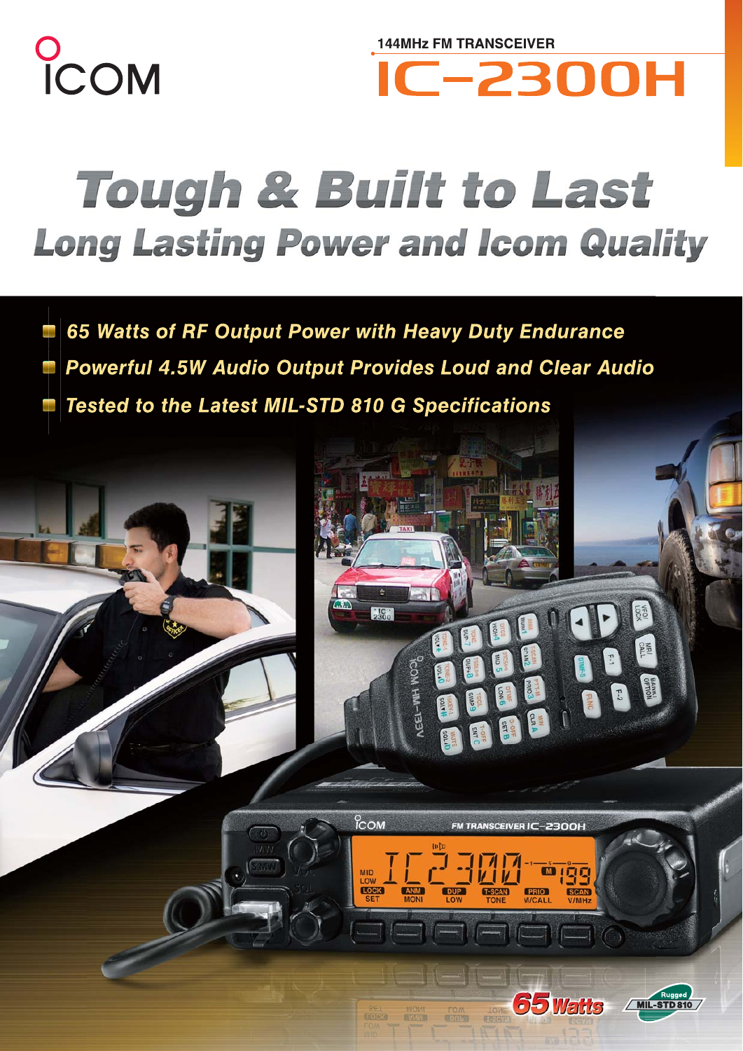

**144MHz FM TRANSCEIVER IC-2300H** 

# **Tough & Built to Last Long Lasting Power and Icom Quality**

65 Watts of RF Output Power with Heavy Duty Endurance Powerful 4.5W Audio Output Provides Loud and Clear Audio

Tested to the Latest MIL-STD 810 G Specifications